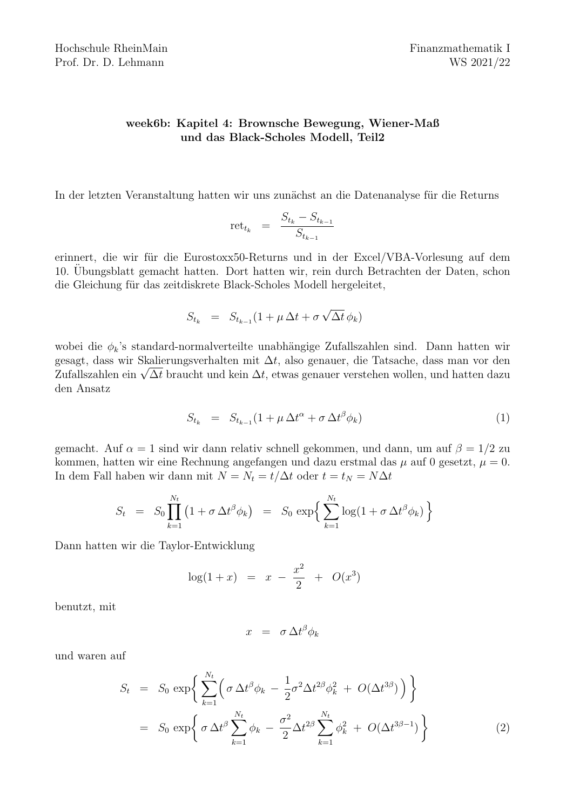## week6b: Kapitel 4: Brownsche Bewegung, Wiener-Maß und das Black-Scholes Modell, Teil2

In der letzten Veranstaltung hatten wir uns zunächst an die Datenanalyse für die Returns

$$
\text{ret}_{t_k} = \frac{S_{t_k} - S_{t_{k-1}}}{S_{t_{k-1}}}
$$

erinnert, die wir für die Eurostoxx50-Returns und in der Excel/VBA-Vorlesung auf dem 10. Ubungsblatt gemacht hatten. Dort hatten wir, rein durch Betrachten der Daten, schon ¨ die Gleichung für das zeitdiskrete Black-Scholes Modell hergeleitet,

$$
S_{t_k} = S_{t_{k-1}} (1 + \mu \Delta t + \sigma \sqrt{\Delta t} \phi_k)
$$

wobei die  $\phi_k$ 's standard-normalverteilte unabhängige Zufallszahlen sind. Dann hatten wir gesagt, dass wir Skalierungsverhalten mit ∆t, also genauer, die Tatsache, dass man vor den gesagt, dass wir Skallerungsvernalten mit ∆t, also genauer, die Tatsache, dass man vor den<br>Zufallszahlen ein √ $\overline{\Delta t}$  braucht und kein  $\Delta t$ , etwas genauer verstehen wollen, und hatten dazu den Ansatz

$$
S_{t_k} = S_{t_{k-1}} (1 + \mu \Delta t^{\alpha} + \sigma \Delta t^{\beta} \phi_k)
$$
\n
$$
(1)
$$

gemacht. Auf  $\alpha = 1$  sind wir dann relativ schnell gekommen, und dann, um auf  $\beta = 1/2$  zu kommen, hatten wir eine Rechnung angefangen und dazu erstmal das  $\mu$  auf 0 gesetzt,  $\mu = 0$ . In dem Fall haben wir dann mit  $N = N_t = t/\Delta t$  oder  $t = t_N = N\Delta t$ 

$$
S_t = S_0 \prod_{k=1}^{N_t} \left(1 + \sigma \Delta t^{\beta} \phi_k\right) = S_0 \exp\left\{\sum_{k=1}^{N_t} \log(1 + \sigma \Delta t^{\beta} \phi_k)\right\}
$$

Dann hatten wir die Taylor-Entwicklung

$$
log(1+x) = x - \frac{x^2}{2} + O(x^3)
$$

benutzt, mit

$$
x = \sigma \Delta t^{\beta} \phi_k
$$

und waren auf

$$
S_t = S_0 \exp\left\{\sum_{k=1}^{N_t} \left(\sigma \Delta t^{\beta} \phi_k - \frac{1}{2} \sigma^2 \Delta t^{2\beta} \phi_k^2 + O(\Delta t^{3\beta})\right)\right\}
$$
  

$$
= S_0 \exp\left\{\sigma \Delta t^{\beta} \sum_{k=1}^{N_t} \phi_k - \frac{\sigma^2}{2} \Delta t^{2\beta} \sum_{k=1}^{N_t} \phi_k^2 + O(\Delta t^{3\beta - 1})\right\}
$$
(2)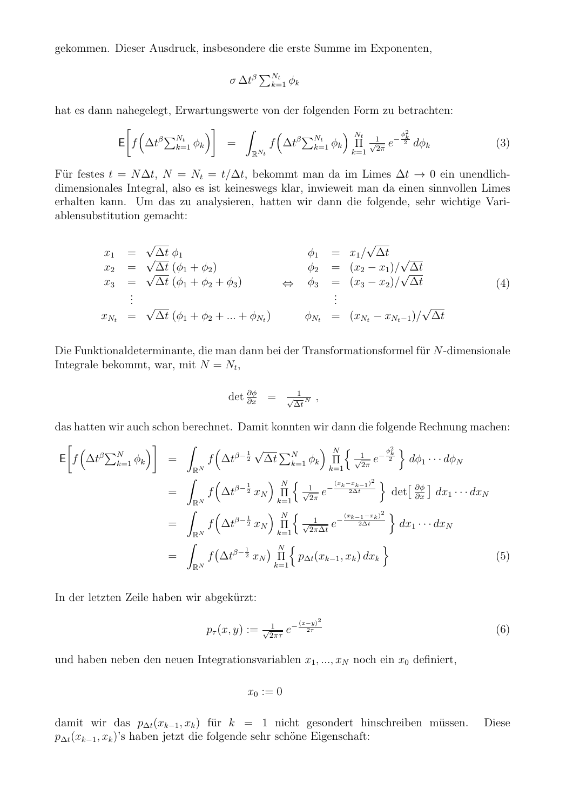gekommen. Dieser Ausdruck, insbesondere die erste Summe im Exponenten,

$$
\sigma \, \Delta t^\beta \sum\nolimits_{k = 1}^{N_t} \phi_k
$$

hat es dann nahegelegt, Erwartungswerte von der folgenden Form zu betrachten:

$$
\mathsf{E}\bigg[f\bigg(\Delta t^{\beta} \sum_{k=1}^{N_t} \phi_k\bigg)\bigg] = \int_{\mathbb{R}^{N_t}} f\bigg(\Delta t^{\beta} \sum_{k=1}^{N_t} \phi_k\bigg) \prod_{k=1}^{N_t} \frac{1}{\sqrt{2\pi}} e^{-\frac{\phi_k^2}{2}} d\phi_k \tag{3}
$$

Für festes  $t = N\Delta t$ ,  $N = N_t = t/\Delta t$ , bekommt man da im Limes  $\Delta t \rightarrow 0$  ein unendlichdimensionales Integral, also es ist keineswegs klar, inwieweit man da einen sinnvollen Limes erhalten kann. Um das zu analysieren, hatten wir dann die folgende, sehr wichtige Variablensubstitution gemacht:

$$
x_1 = \sqrt{\Delta t} \phi_1
$$
  
\n
$$
x_2 = \sqrt{\Delta t} (\phi_1 + \phi_2)
$$
  
\n
$$
x_3 = \sqrt{\Delta t} (\phi_1 + \phi_2 + \phi_3)
$$
  
\n
$$
\phi_2 = (x_2 - x_1)/\sqrt{\Delta t}
$$
  
\n
$$
\phi_3 = (x_3 - x_2)/\sqrt{\Delta t}
$$
  
\n
$$
\vdots
$$
  
\n
$$
x_{N_t} = \sqrt{\Delta t} (\phi_1 + \phi_2 + \dots + \phi_{N_t})
$$
  
\n
$$
\phi_{N_t} = (x_{N_t} - x_{N_{t-1}})/\sqrt{\Delta t}
$$
  
\n(4)

Die Funktionaldeterminante, die man dann bei der Transformationsformel für  $N$ -dimensionale Integrale bekommt, war, mit  $N = N_t$ ,

$$
\det \frac{\partial \phi}{\partial x} = \frac{1}{\sqrt{\Delta t}^N},
$$

das hatten wir auch schon berechnet. Damit konnten wir dann die folgende Rechnung machen:

$$
\mathsf{E}\left[f\left(\Delta t^{\beta}\sum_{k=1}^{N}\phi_{k}\right)\right] = \int_{\mathbb{R}^{N}}f\left(\Delta t^{\beta-\frac{1}{2}}\sqrt{\Delta t}\sum_{k=1}^{N}\phi_{k}\right)\prod_{k=1}^{N}\left\{\frac{1}{\sqrt{2\pi}}e^{-\frac{\phi_{k}^{2}}{2}}\right\}d\phi_{1}\cdots d\phi_{N}
$$
\n
$$
= \int_{\mathbb{R}^{N}}f\left(\Delta t^{\beta-\frac{1}{2}}x_{N}\right)\prod_{k=1}^{N}\left\{\frac{1}{\sqrt{2\pi}}e^{-\frac{(x_{k}-x_{k-1})^{2}}{2\Delta t}}\right\}\det\left[\frac{\partial\phi}{\partial x}\right]dx_{1}\cdots dx_{N}
$$
\n
$$
= \int_{\mathbb{R}^{N}}f\left(\Delta t^{\beta-\frac{1}{2}}x_{N}\right)\prod_{k=1}^{N}\left\{\frac{1}{\sqrt{2\pi\Delta t}}e^{-\frac{(x_{k-1}-x_{k})^{2}}{2\Delta t}}\right\}dx_{1}\cdots dx_{N}
$$
\n
$$
= \int_{\mathbb{R}^{N}}f\left(\Delta t^{\beta-\frac{1}{2}}x_{N}\right)\prod_{k=1}^{N}\left\{p_{\Delta t}(x_{k-1},x_{k})dx_{k}\right\}
$$
\n(5)

In der letzten Zeile haben wir abgekürzt:

$$
p_{\tau}(x, y) := \frac{1}{\sqrt{2\pi\tau}} e^{-\frac{(x-y)^2}{2\tau}}
$$
(6)

und haben neben den neuen Integrationsvariablen  $x_1, ..., x_N$  noch ein  $x_0$  definiert,

$$
x_0:=0
$$

damit wir das  $p_{\Delta t}(x_{k-1}, x_k)$  für  $k = 1$  nicht gesondert hinschreiben müssen. Diese  $p_{\Delta t}(x_{k-1}, x_k)$ 's haben jetzt die folgende sehr schöne Eigenschaft: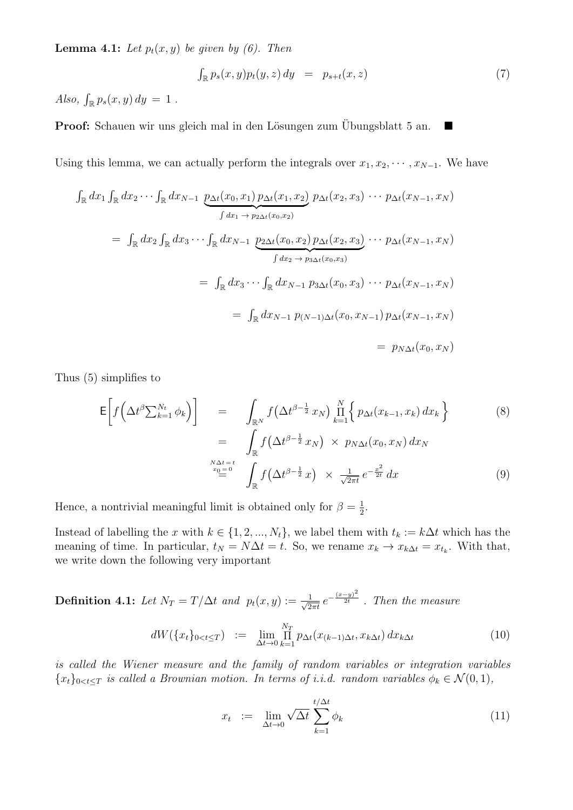**Lemma 4.1:** Let  $p_t(x, y)$  be given by (6). Then

$$
\int_{\mathbb{R}} p_s(x, y) p_t(y, z) dy = p_{s+t}(x, z) \tag{7}
$$

Also,  $\int_{\mathbb{R}} p_s(x, y) dy = 1$ .

**Proof:** Schauen wir uns gleich mal in den Lösungen zum Übungsblatt 5 an.  $\blacksquare$ 

Using this lemma, we can actually perform the integrals over  $x_1, x_2, \cdots, x_{N-1}$ . We have

$$
\int_{\mathbb{R}} dx_1 \int_{\mathbb{R}} dx_2 \cdots \int_{\mathbb{R}} dx_{N-1} \underbrace{p_{\Delta t}(x_0, x_1) p_{\Delta t}(x_1, x_2)}_{\int dx_1 \to p_{2\Delta t}(x_0, x_2)} p_{\Delta t}(x_2, x_3) \cdots p_{\Delta t}(x_{N-1}, x_N)
$$
\n
$$
= \int_{\mathbb{R}} dx_2 \int_{\mathbb{R}} dx_3 \cdots \int_{\mathbb{R}} dx_{N-1} \underbrace{p_{2\Delta t}(x_0, x_2) p_{\Delta t}(x_2, x_3)}_{\int dx_2 \to p_{3\Delta t}(x_0, x_3)} \cdots p_{\Delta t}(x_{N-1}, x_N)
$$
\n
$$
= \int_{\mathbb{R}} dx_3 \cdots \int_{\mathbb{R}} dx_{N-1} p_{3\Delta t}(x_0, x_3) \cdots p_{\Delta t}(x_{N-1}, x_N)
$$
\n
$$
= \int_{\mathbb{R}} dx_{N-1} p_{(N-1)\Delta t}(x_0, x_{N-1}) p_{\Delta t}(x_{N-1}, x_N)
$$
\n
$$
= p_{N\Delta t}(x_0, x_N)
$$

Thus (5) simplifies to

$$
\mathsf{E}\left[f\left(\Delta t^{\beta}\sum_{k=1}^{N_t}\phi_k\right)\right] = \int_{\mathbb{R}^N}f\left(\Delta t^{\beta-\frac{1}{2}}x_N\right)\prod_{k=1}^N\left\{p_{\Delta t}(x_{k-1},x_k)\,dx_k\right\}
$$
\n
$$
= \int_{\mathbb{R}^N}f\left(\Delta t^{\beta-\frac{1}{2}}x_N\right) \times p_{N\Delta t}(x_0,x_N)\,dx_N
$$
\n
$$
\stackrel{N\Delta t=t}{=} \int_{\mathbb{R}^N}f\left(\Delta t^{\beta-\frac{1}{2}}x\right) \times \frac{1}{\sqrt{2\pi t}}e^{-\frac{x^2}{2t}}\,dx
$$
\n(9)

Hence, a nontrivial meaningful limit is obtained only for  $\beta = \frac{1}{2}$  $rac{1}{2}$ .

Instead of labelling the x with  $k \in \{1, 2, ..., N_t\}$ , we label them with  $t_k := k\Delta t$  which has the meaning of time. In particular,  $t_N = N\Delta t = t$ . So, we rename  $x_k \to x_{k\Delta t} = x_{t_k}$ . With that, we write down the following very important

**Definition 4.1:** Let  $N_T = T/\Delta t$  and  $p_t(x, y) := \frac{1}{\sqrt{2}}$  $\frac{1}{2\pi t}\,e^{-\frac{(x-y)^2}{2t}}$  . Then the measure

$$
dW(\lbrace x_t \rbrace_{0 < t \le T} ) := \lim_{\Delta t \to 0} \prod_{k=1}^{N_T} p_{\Delta t}(x_{(k-1)\Delta t}, x_{k\Delta t}) dx_{k\Delta t} \tag{10}
$$

is called the Wiener measure and the family of random variables or integration variables  ${x_t}_{0 \leq t \leq T}$  is called a Brownian motion. In terms of i.i.d. random variables  $\phi_k \in \mathcal{N}(0,1)$ ,

$$
x_t := \lim_{\Delta t \to 0} \sqrt{\Delta t} \sum_{k=1}^{t/\Delta t} \phi_k \tag{11}
$$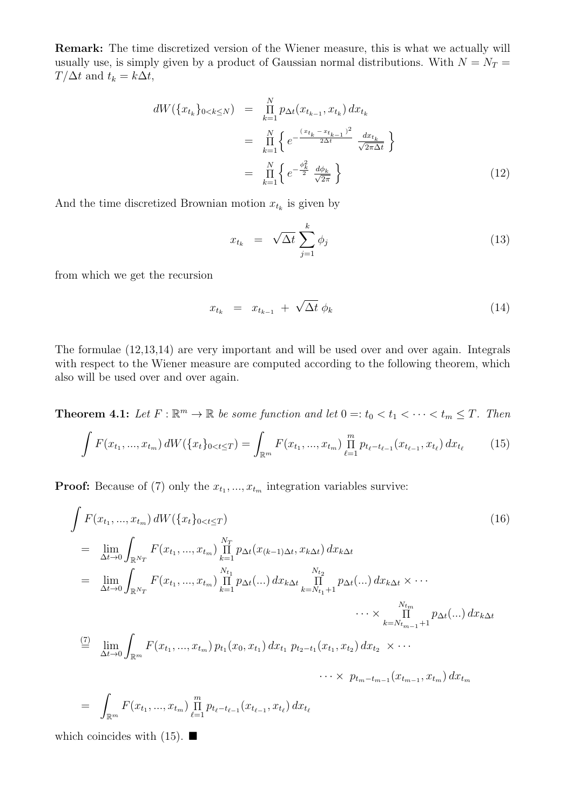Remark: The time discretized version of the Wiener measure, this is what we actually will usually use, is simply given by a product of Gaussian normal distributions. With  $N = N_T$  $T/\Delta t$  and  $t_k = k\Delta t$ ,

$$
dW(\lbrace x_{t_k} \rbrace_{0 < k \le N}) = \prod_{k=1}^{N} p_{\Delta t}(x_{t_{k-1}}, x_{t_k}) dx_{t_k}
$$
\n
$$
= \prod_{k=1}^{N} \lbrace e^{-\frac{(x_{t_k} - x_{t_{k-1}})^2}{2\Delta t}} \frac{dx_{t_k}}{\sqrt{2\pi \Delta t}} \rbrace
$$
\n
$$
= \prod_{k=1}^{N} \lbrace e^{-\frac{\phi_k^2}{2}} \frac{d\phi_k}{\sqrt{2\pi}} \rbrace
$$
\n(12)

And the time discretized Brownian motion  $x_{t_k}$  is given by

$$
x_{t_k} = \sqrt{\Delta t} \sum_{j=1}^k \phi_j \tag{13}
$$

from which we get the recursion

$$
x_{t_k} = x_{t_{k-1}} + \sqrt{\Delta t} \phi_k \tag{14}
$$

The formulae (12,13,14) are very important and will be used over and over again. Integrals with respect to the Wiener measure are computed according to the following theorem, which also will be used over and over again.

**Theorem 4.1:** Let  $F: \mathbb{R}^m \to \mathbb{R}$  be some function and let  $0 =: t_0 < t_1 < \cdots < t_m \leq T$ . Then

$$
\int F(x_{t_1},...,x_{t_m}) dW(\lbrace x_t \rbrace_{0 < t \le T} ) = \int_{\mathbb{R}^m} F(x_{t_1},...,x_{t_m}) \prod_{\ell=1}^m p_{t_\ell - t_{\ell-1}}(x_{t_{\ell-1}},x_{t_\ell}) dx_{t_\ell} \tag{15}
$$

**Proof:** Because of (7) only the  $x_{t_1},...,x_{t_m}$  integration variables survive:

$$
\int F(x_{t_1},...,x_{t_m}) dW(\lbrace x_t \rbrace_{0 < t \le T})
$$
\n
$$
= \lim_{\Delta t \to 0} \int_{\mathbb{R}^{N_T}} F(x_{t_1},...,x_{t_m}) \prod_{k=1}^{N_T} p_{\Delta t}(x_{(k-1)\Delta t}, x_{k\Delta t}) dx_{k\Delta t}
$$
\n
$$
= \lim_{\Delta t \to 0} \int_{\mathbb{R}^{N_T}} F(x_{t_1},...,x_{t_m}) \prod_{k=1}^{N_{t_1}} p_{\Delta t}(...) dx_{k\Delta t} \prod_{k=N_{t_1}+1}^{N_{t_2}} p_{\Delta t}(...) dx_{k\Delta t} \times \cdots
$$
\n
$$
\cdots \times \prod_{k=N_{t_{m-1}+1}}^{N_{t_m}} p_{\Delta t}(...) dx_{k\Delta t}
$$
\n
$$
\stackrel{(7)}{=} \lim_{\Delta t \to 0} \int_{\mathbb{R}^m} F(x_{t_1},...,x_{t_m}) p_{t_1}(x_0, x_{t_1}) dx_{t_1} p_{t_2-t_1}(x_{t_1}, x_{t_2}) dx_{t_2} \times \cdots
$$
\n
$$
\cdots \times p_{t_m-t_{m-1}}(x_{t_{m-1}}, x_{t_m}) dx_{t_m}
$$
\n
$$
= \int_{\mathbb{R}^m} F(x_{t_1},...,x_{t_m}) \prod_{\ell=1}^m p_{t_\ell-t_{\ell-1}}(x_{t_{\ell-1}}, x_{t_\ell}) dx_{t_\ell}
$$
\n(16)

which coincides with  $(15)$ .